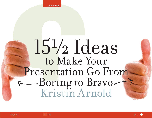**ChangeThis** 

# 15½ Ideas to Make Your Presentation Go From Boring to Bravo Kristin Arnold

 $ln$ fo  $1/16$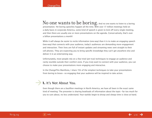### No one wants to be boring. And no one wants to listen to a boring presentation. Yet boring speeches happen all the time. With over 17 million meetings held on a daily basis in corporate America, some kind of speech is given to kick off every single meeting, and then there are usually one or more presentations on the agenda. Conservatively, that's over a billion presentations a month!

While it will always be easier to recite information (one-way) than it is to make an engaging speech (two-way) that connects with your audience, today's audiences are demanding more engagement and interaction. Their lives are full of instant updates and streaming news sent straight to their cell phones. They are expecting you to bring specific knowledge they can't get anywhere else and deliver it in an entertaining way.

Unfortunately, most people rely on a few tried (yet true) techniques to engage an audience and rarely stumble outside their comfort zone. If you truly want to connect with your audience, you can choose to make your presentations more engaging and interactive.

In the ChangeThis Manifesto, I share 15½ of the simplest techniques to take your presentations from boring to bravo—so engaging that your audience will be inspired to take action.

# **1.** It's Not About You.  $\rightarrow$

Even though there are a bazillion meetings in North America, we have all been in the exact same kind of meeting: The presenter is sharing boatloads of information about the topic—far too much for you to care about, no less understand. Your eyelids begin to droop and sleepy time is close at hand.

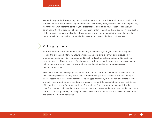Rather than spew forth everything you know about your topic, do a different kind of research. Find out who will be in the audience. Try to understand their hopes, fears, interests and, most importantly, why they will even bother to come to your presentation. Then tailor your speech to connect your comments with what they care about. Not the ones you think they should care about. This is a subtle distinction with dramatic implications. If you do not address something that helps make their lives better or will improve the lives of people they care about, you will be boring. Guaranteed.

# **2.** Engage Early.  $\rightarrow$

Your presentation starts the moment the meeting is announced, with your name on the agenda. Pick up the phone and interview a few participants, email a simple survey, open discussion in a blog post, post a question to a group on LinkedIn or Facebook, start a unique wiki about your presentation, etc. There are a ton of technologies out there to enable you to start the conversation before your presentation even begins. And, the side benefit is that you are doing research on the audience (see #1)!

Here's what I mean by engaging early. When Don Tapscott, author of the bestseller Wikinomics, was the keynote speaker at Meeting Professionals International (MPI), he reached out to the MPI registrants. According to CEO Bruce MacMillan, "he blogged with them, invited questions before the event, and built them right into his presentation. In essence, he built the presentation around the interests of his audience even before they got there. The audience felt like they were personally involved. They felt like they could see their fingerprints all over the content he delivered. And so they got more out of it. … It was personal, and the people who were in the audience felt that they had collaborated and created something remarkable."

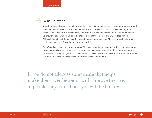# **3.** Be Relevant.  $\rightarrow$

A world-renowned organizational anthropologist was giving an interesting presentation I was attending when, with one slide, she lost all credibility. She displayed a visual of a whale leaping up out of the water to eat from a human hand, and used it as a real-life example to make a point. Most of us knew this slide was urban legend material lifted off the Internet and was, in fact, not true. Although I quietly sat there, I couldn't accept another word she said. What else was she showing us that was not true? Several people got up and left.

Today's audiences are exceptionally savvy. They are expecting up-to-date, cutting edge information they can't get elsewhere. They are expecting more than a regurgitated book report or sensationalized statistics. They can get that on the Internet. If they can read it elsewhere or download the same information, why should they make an effort to come listen to you?

If you do not address something that helps make their lives better or will improve the lives of people they care about, you will be boring.

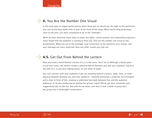# **4.** You Are the Number One Visual

In the early days of staged performances when there was no electricity, the light on the performer was cast by burning chalky lime in pots at the front of the stage. When performing downstage close to the pots, you were considered to be in the "limelight."

While we have electricity these days to power the lights, sound systems and multimedia projectors, never forget that the audience is coming to hear you. YOU are the number one visual in any presentation. While you are in the limelight, your connection to the audience, your energy, and your message are more important than any other visuals you may use.

# **4.5.** Get Out From Behind the Lectern  $\rightarrow$

Most presenters stand behind a lectern if it is in the room. Don't do it! Although a handy place to put your notes, the lectern creates a physical barrier between you and your audience. Stand to the side of it, or put your talking points on one sheet of paper.

You can't connect with your audience if you are standing behind a lectern, table, chair, or other physical obstacle between you and your audience. I recently witnessed a corporate Vice President pull a chair in front of him, creating a subliminal barricade between him and the audience. Awkward, as he was professing he wanted the group's input! Did he get their comments and suggestions? No, he did not. Not until he sat down, and then it took a while to jump-start the group into a meaningful conversation.

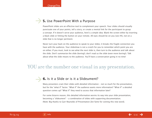# **5.** Use PowerPoint With a Purpose  $\rightarrow$

PowerPoint slides are an effective tool to complement your speech. Your slides should visually punctuate one of your points, tell a story, or create a mental link for the participant to grasp a concept. If it doesn't serve your audience, here's a simple idea: Blank the screen either by inserting a black slide or hitting the button on your remote. All eyes should be on you (see #4), not on a slide that is no longer pertinent.

Never turn your back on the audience to speak to your slides; it breaks the fragile connection you have with the audience. Your slideshow is not a crutch for you to remember which point you are on either. If you must, look to see what the next slide is, then turn to the audience and talk about the slide. Don't summarize the slide (boring!); don't read us the slide (even more boring!). Talk about what the slide means to the audience. You'll have a conversation going in no time!

# YOU are the number one visual in any presentation.

# **6.** Is it a Slide or is it a Slideument?  $\rightarrow$

Many presenters cram their slides with detailed information – not so much for the presentation, but for the "what if" factor. "What if" the audience wants more information? "What if" a detailed question comes up? "What if" they need to access that information later?

For some bizarre reason, this detailed information worms its way into your slide presentation, becoming a "slideument" – a combination of slides with supporting documentation. (Note: Big thanks to Garr Reynolds of Presentation Zen fame for coining this new word).

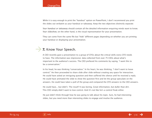While it is easy enough to print the "handout" option on PowerPoint, I don't recommend you print the slides out verbatim as your handout or takeaway. Keep the two objectives distinctly separate:

Your handout or takeaway should contain all the detailed information enquiring minds want to know. Your slideshow, on the other hand, is the visual representation for your presentation.

They can come from the same file but "hide" different pages depending on whether you are printing your handout or displaying your presentation.

# **7.** Know Your Speech.  $\rightarrow$

A CEO recently gave a presentation to a group of CFOs about the critical skills every CFO needs to have. The information was impressive: data collected from over 75 CEOs about what's important to the audience's success. The CEO prefaced his comments by saying, "I want this to be a conversation."

In his head, he was thinking "conversation." In his heart, he was thinking, "I don't want to loose control." He then proceeded to share slide after slide without creating any space for interaction. He could have asked an intriguing question and then suffered the silence until he received a reply. He could have animated the slide to show the question first and let the group speculate on the answers. He could have taken a poll of the group and compared the CFO answers to the CEO answers.

He could have... but didn't. The result? It was boring. Great information, but duller than dirt. This CEO simply didn't want to lose control. And it's not like he's a control freak either.

He just didn't think through how he was going to talk about his topic. Sure, he had interesting slides, but you need more than interesting slides to engage and involve the audience.

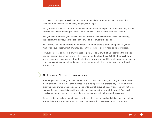You need to know your speech with and without your slides. This seems pretty obvious but I continue to be amazed at how many people just "wing it."

Yes, you should have an outline with your key points, memorable phrases and stories, key actions to make the speech amazing in the eyes of the audience, and a call to action at the end.

Yes, you should practice your speech until you are sufficiently comfortable with the opening, the closing, the stories, and the actions you will take to involve the audience.

No, I am NOT talking about rote memorization. Although there is a time and place for you to memorize your speech, most presentations in the workplace do not need to be memorized.

However, in order to pull this off, you need to prepare. Be as much of an expert on the topic as you can possibly be. Immerse yourself in the content. Be relevant (see #2). Think through how you are going to encourage participation. Be fluent so you can bend like a willow when the audience does interact with you or when the unexpected happens, which according to my good friend Murphy, it will.

# **8.** Have a Mini-Conversation.  $\rightarrow$

Whether you are speaking to a few people or to a packed auditorium, present your information in a conversational style rather than a stilted "this is how presenters present" style. Most of us are pretty engaging when we speak one-on-one or to a small group of close friends. So why not take that comfortable, casual style with you onto the stage or to the front of the room? Your local television news anchors and reporters have a more conversational tone and so can you.

As you begin your talk, think mini-conversations rather than a stand-and-deliver speech. Look at a friendly face in the audience and stay with that person for a sentence or two or until you

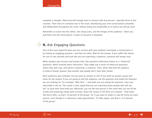complete a thought. Allow yourself enough time to connect with that person—typically three to five seconds. Then move to someone else in the room, distributing your mini-conversations smoothly and deliberately throughout the room, without being too predictable as to where you will go next!

Remember to reach into the rafters, the cheap seats, and the fringes of the audience—when you pull them into the conversation, it pulls in everyone in between!

# **9.** Ask Engaging Questions  $\rightarrow$

One of the most powerful ways you can connect with your audience and begin a conversation is by asking an engaging question—and then be silent. Wait for the answer. If you suffer the silence for one or two seconds and look like you are expecting a response, someone will answer you!

Many speakers get nervous and answer their own question (otherwise known as a "rhetorical" question), which severely limits interaction. They might ask a series of rhetorical questions where they don't get, and weren't expecting, a response. Then, when they poll the audience (a show of hands, please), they wonder why people don't raise their hands!

Most audiences get confused. Do you want an answer or not? If you want an answer, pause and listen for the answer. If you are going to poll the audience, ask the question and model the behavior you are looking for. For example, "Who here…" and while you are asking the question, raise your hand high in the air. This sends a clear signal that you are expecting those people who will say "yes" to raise their hand with you. Moreover, you are the one person in the room who can see all the results and enquiring minds want to know. Share the results in the form of a statistic: "That looks like thirty folks, so that's 10 percent of the group." Or, if you want to make it a tad bit funny, be more precise, even though it is obviously a best guesstimate: "27 folks agree, and that is 13.3 percent of the group."

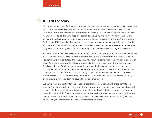# **10.** Tell the Story  $\rightarrow$

Once upon a time, I was facilitating a strategic planning session sponsored by two senior executives. Each of the two executives opened the session in two distinct ways: Executive #1 went to the front of the room and thanked the participants for coming. He said he was excited about the work we were going to do. Ho hum. Nice, but boring. Executive #2 went to the front of the room and started with a story about driving his car… to work? To their biggest client's office? To the beach? To Disneyland? He immediately engaged the participants by creating an analogy between his drive and the group's strategic planning efforts. The audience was much more interested in his remarks. They were different, they were personal, and they could see themselves driving to Disneyland!

Since the dawn of man, we have gathered around the fire, rapturously listening to stories that define what is important to the clan. Today's audiences are not too different from our ancestors. When listeners hear a well-told story, they take a journey with you, correlating their own experiences with yours. Your story becomes their story or it reminds them of a similar story from their own lives. This is called a "Me Too Moment." Your stories help you build a connection to your audience. It could be a story about yourself or someone you know. If you don't have enough stories of your own, you can certainly "borrow" a story as long as you cite the source and ask their permission if at all possible. Please, do NOT brag about your accomplishments, lift a story off the Internet, or repackage a borrowed story to sound like it happened to you.

But here's the weird part: After one of your presentations, a participant will share her "Me Too Moment," which is a vastly different story from your own and with a different meaning altogether! I used to think these people just didn't get the point until I realized that they got the point they needed to get. And that's what so great about stories: each audience member can derive their own unique takeaway from the exact same story! Your audience may not remember exactly what you said during your presentation but they will remember your stories.

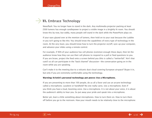# **11.** Embrace Technology  $\rightarrow$

Newsflash: You no longer have to stand in the dark. Any multimedia projector packing at least 2500 lumens has enough candlepower to project a visible image in a brightly lit room. You should know this by now, but oddly, many people still stand in the dark while the PowerPoint plays on.

If your eyes glazed over at the mention of lumens, then hold on to your seat because the Luddite in you isn't going to like this: You should know the capabilities of every type of technology in the room. At the very least, you should know how to turn the projector on/off, sync up your computer, and advance your slides using a remote control.

For example, if 90% of your audience has cell phones (common enough these days), then let the audience know how they can use their cell phones to respond to a poll or feed questions to you. If you are brave, project the feed onto a screen behind you (this is called a "twitterfall." Ain't that cute?) so all can participate in the "back channel" discussion—the conversation going on in the room while you are speaking.

Can't make it to the meeting due to a volcanic dust cloud covering European airspace? Skype it in, but only if you are extremely comfortable using the technology.

#### **Warning: Kristin's personal technology pet peeve: Use a Microphone.**

If you are presenting to more than 100 people, do us all a favor and use an arcane technology called a microphone. Lavaliere or handheld? No one really cares. Use a microphone. Even if you think you have a loud, booming voice. Use a microphone. It is not about your voice, it is about the audience's ability to hear you. So put away your pride and speak into a microphone.

Better yet, learn a little something about microphones. How to turn them on. How to turn them off before you go to the restroom. How your mouth needs to be relatively close to the microphone

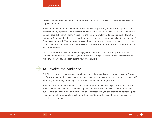to be heard. And how to fish the little wire down your shirt so it doesn't distract the audience by flopping all around.

While I'm on my micro-rant, please be nice to the A/V people. Okay, be nice to ALL people, but especially the A/V people. Find out their first name and use it. Say thank you every once in a while. Do your sound check with them. Wander around the room while you do a sound check. Note the "hot spots" (too much feedback) with masking tape on the floor – and don't walk into the hot spots! Then make sure the A/V person takes a piece of masking tape and notes your sound level on the mixer board and then writes your name next to it. If there are multiple people on the program, you will sound perfect!

Of course, don't use any kind of technology just for the "cool factor." Make it purposeful, and do lots and lots of practice runs before you do it for "real." Murphy's law still rules: Whatever can go wrong will go wrong, especially during your presentation!

# **12.** Involve the Audience  $\rightarrow$

Bob Pike, a renowned champion of participant-centered training is often quoted as saying, "Never do for the audience what they can do for themselves." As you review your presentation, ask yourself whether you are doing something that an audience member can do just as easily.

When you ask an audience member to do something for you, she feels special. She morphs into a participant while sending a subliminal signal to the rest of the audience that you are reaching out for help, and they might be more willing to cooperate when you ask them to do something later. It can be something as simple as asking for help in setting up the room, being a timekeeper or recorder, or a "runner."

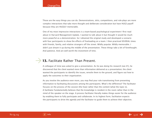Those are the easy things you can do. Demonstrations, skits, competitions, and role-plays are more complex interactions that take more thought and deliberate consideration but have HUGE payoff because they are HUGELY memorable.

One of my most impressive interactions is a team-based psychological experiment I first read about in Harvard Management Update. I wanted to talk about it but thought it would be much more powerful as a demonstration. So I obtained the original study and developed a scenario with four participants to show the effects of freeloading on a team. I then practiced SEVERAL times with friends, family, and relative strangers off the street. Wildly popular. Wildly memorable. I didn't just dream it up during the middle of the presentation. These things take a bit of forethought. And patience. And are well worth the investment of time.

# **13.** Facilitate Rather Than Present.  $\rightarrow$

A colleague of mine was asked to give a presentation. As he was doing his research (see  $#1$ ), he discovered that the client wanted more than information delivered as a presentation; the client wanted the participants to identify the issues, wrestle them to the ground, and figure out how to apply the outcomes to their organization.

As you involve the audience even more, you may find your role transitioning from presenting information to facilitating discussions among the participants. What's the difference? The facilitator focuses on the process of the session (the how) rather than the content (what the topic is). A facilitator fundamentally believes that the knowledge is resident in the room rather than in the mind of the speaker on the stage. A process facilitator literally makes things easier for the audience by enabling them to fully participate and collaborate. In its highest form, facilitation expects the participants to drive the agenda and the facilitator to guide them to achieve their objective.

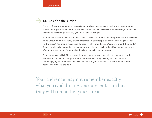# **14.** Ask for the Order.  $\rightarrow$

The end of your presentation is the crucial point where the cup meets the lip. You present a great speech, but if you haven't shifted the audience's perspective, increased their knowledge, or inspired them to do something differently, your words are for naught.

Your audience will not take action unless you ask them to. Don't assume they know what they should do as a result of your brilliantly crafted presentation. Salespeople are always encouraged to "ask for the order." You should make a similar request of your audience. What do you want them to do? Suggest a relatively easy action they could do when they get back to the office that day or the day after your presentation. Or be bold and make a more challenging request.

Presentation coach Nick Morgan says the only reason to give a speech is to change the world. And why not? Expect to change the world with your words! By making your presentation more engaging and interactive, you will connect with your audience so they can be inspired to action. And isn't that the point?

Your audience may not remember exactly what you said during your presentation but they will remember your stories.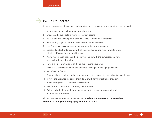# **15.** Be Deliberate.  $\rightarrow$

So here's my request of you, dear readers. When you prepare your presentation, keep in mind:

- 1. Your presentation is about them, not about you.
- 2. Engage early, even before your presentation begins.
- 3. Be relevant and unique; more than what they can find on the Internet.
- 4. Remove any physical barriers between you and the audience.
- 5. Use PowerPoint to complement your presentation, not supplant it.
- 6. Create a handout or takeaway with all the detail enquiring minds want to know, which is different from your slideshow.
- 7. Know your speech, inside and out, so you can go with the conversational flow and deal with any obstacles.
- 8. Have a mini-conversation with the audience using your eyes.
- 9. Have a real conversation with the audience starting with engaging questions.
- 10. Tell a "Me Too" story.
- 11. Embrace the technology in the room but only if it enhances the participants' experience.
- 12. Involve the audience by letting them do as much for themselves as they can.
- 13. When appropriate, facilitate the conversation.
- 14. Ask for the order with a compelling call to action.
- 15. Deliberately think through how you are going to engage, involve, and inspire your audience to action.

All this happens because you aren't winging it. **When you prepare to be engaging and interactive, you are engaging and interactive.**